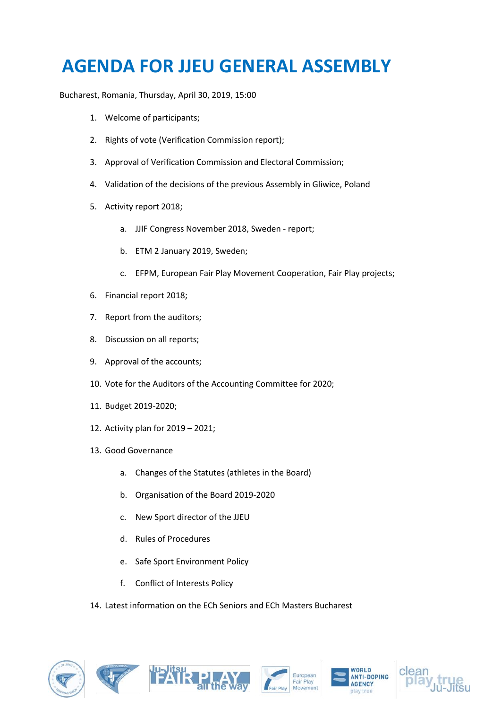## **AGENDA FOR JJEU GENERAL ASSEMBLY**

Bucharest, Romania, Thursday, April 30, 2019, 15:00

- 1. Welcome of participants;
- 2. Rights of vote (Verification Commission report);
- 3. Approval of Verification Commission and Electoral Commission;
- 4. Validation of the decisions of the previous Assembly in Gliwice, Poland
- 5. Activity report 2018;
	- a. JJIF Congress November 2018, Sweden report;
	- b. ETM 2 January 2019, Sweden;
	- c. EFPM, European Fair Play Movement Cooperation, Fair Play projects;
- 6. Financial report 2018;
- 7. Report from the auditors;
- 8. Discussion on all reports;
- 9. Approval of the accounts;
- 10. Vote for the Auditors of the Accounting Committee for 2020;
- 11. Budget 2019-2020;
- 12. Activity plan for 2019 2021;
- 13. Good Governance
	- a. Changes of the Statutes (athletes in the Board)
	- b. Organisation of the Board 2019-2020
	- c. New Sport director of the JJEU
	- d. Rules of Procedures
	- e. Safe Sport Environment Policy
	- f. Conflict of Interests Policy

14. Latest information on the ECh Seniors and ECh Masters Bucharest